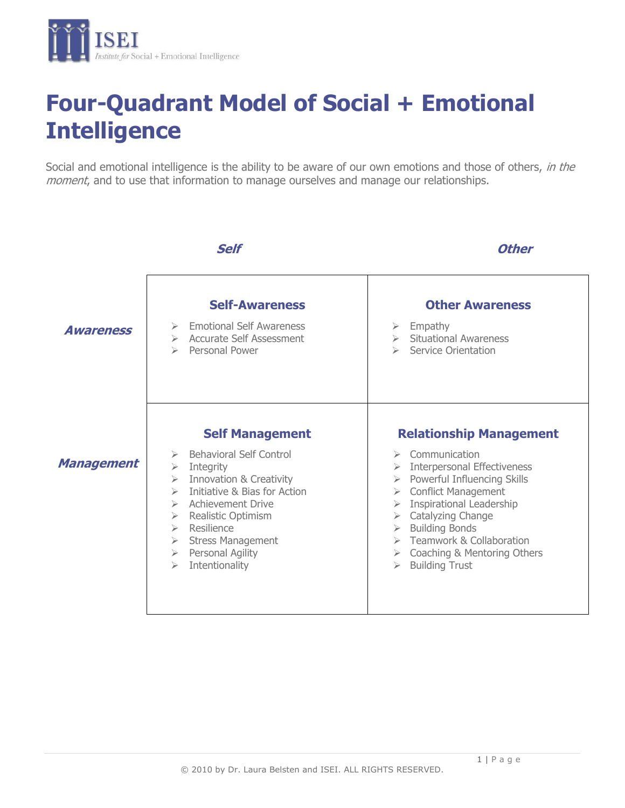

# **Four-Quadrant Model of Social + Emotional Intelligence**

Social and emotional intelligence is the ability to be aware of our own emotions and those of others, in the moment, and to use that information to manage ourselves and manage our relationships.